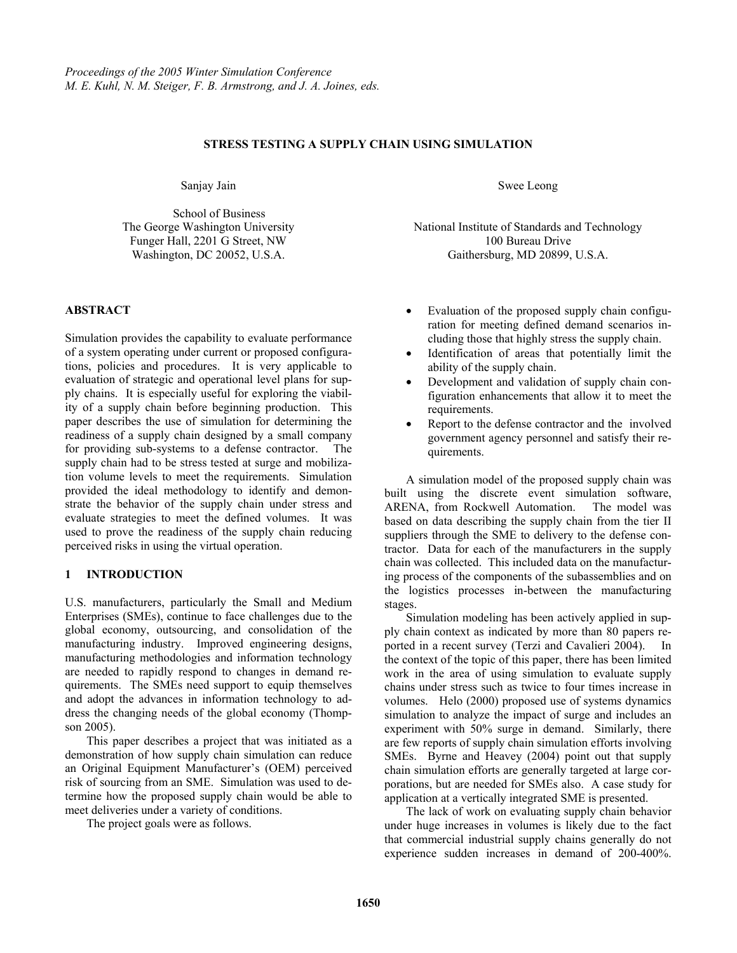# **STRESS TESTING A SUPPLY CHAIN USING SIMULATION**

Sanjay Jain

School of Business The George Washington University Funger Hall, 2201 G Street, NW Washington, DC 20052, U.S.A.

#### **ABSTRACT**

Simulation provides the capability to evaluate performance of a system operating under current or proposed configurations, policies and procedures. It is very applicable to evaluation of strategic and operational level plans for supply chains. It is especially useful for exploring the viability of a supply chain before beginning production. This paper describes the use of simulation for determining the readiness of a supply chain designed by a small company for providing sub-systems to a defense contractor. The supply chain had to be stress tested at surge and mobilization volume levels to meet the requirements. Simulation provided the ideal methodology to identify and demonstrate the behavior of the supply chain under stress and evaluate strategies to meet the defined volumes. It was used to prove the readiness of the supply chain reducing perceived risks in using the virtual operation.

### **1 INTRODUCTION**

U.S. manufacturers, particularly the Small and Medium Enterprises (SMEs), continue to face challenges due to the global economy, outsourcing, and consolidation of the manufacturing industry. Improved engineering designs, manufacturing methodologies and information technology are needed to rapidly respond to changes in demand requirements. The SMEs need support to equip themselves and adopt the advances in information technology to address the changing needs of the global economy (Thompson 2005).

This paper describes a project that was initiated as a demonstration of how supply chain simulation can reduce an Original Equipment Manufacturer's (OEM) perceived risk of sourcing from an SME. Simulation was used to determine how the proposed supply chain would be able to meet deliveries under a variety of conditions.

The project goals were as follows.

Swee Leong

National Institute of Standards and Technology 100 Bureau Drive Gaithersburg, MD 20899, U.S.A.

- Evaluation of the proposed supply chain configuration for meeting defined demand scenarios including those that highly stress the supply chain.
- Identification of areas that potentially limit the ability of the supply chain.
- Development and validation of supply chain configuration enhancements that allow it to meet the requirements.
- Report to the defense contractor and the involved government agency personnel and satisfy their requirements.

A simulation model of the proposed supply chain was built using the discrete event simulation software, ARENA, from Rockwell Automation. The model was based on data describing the supply chain from the tier II suppliers through the SME to delivery to the defense contractor. Data for each of the manufacturers in the supply chain was collected. This included data on the manufacturing process of the components of the subassemblies and on the logistics processes in-between the manufacturing stages.

Simulation modeling has been actively applied in supply chain context as indicated by more than 80 papers reported in a recent survey (Terzi and Cavalieri 2004). In the context of the topic of this paper, there has been limited work in the area of using simulation to evaluate supply chains under stress such as twice to four times increase in volumes. Helo (2000) proposed use of systems dynamics simulation to analyze the impact of surge and includes an experiment with 50% surge in demand. Similarly, there are few reports of supply chain simulation efforts involving SMEs. Byrne and Heavey (2004) point out that supply chain simulation efforts are generally targeted at large corporations, but are needed for SMEs also. A case study for application at a vertically integrated SME is presented.

The lack of work on evaluating supply chain behavior under huge increases in volumes is likely due to the fact that commercial industrial supply chains generally do not experience sudden increases in demand of 200-400%.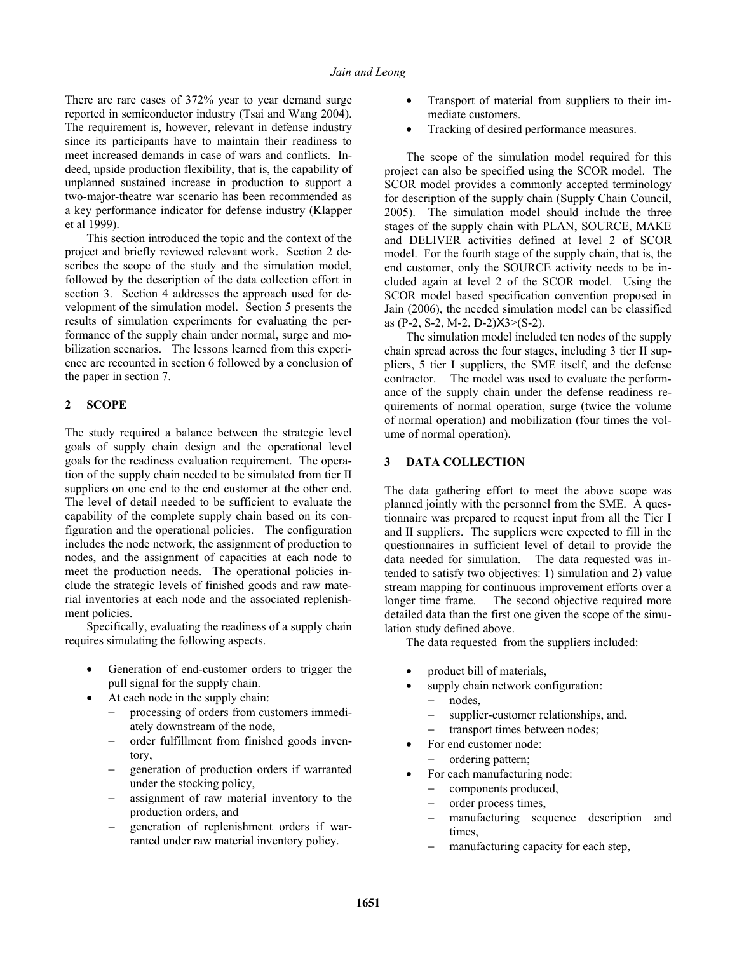There are rare cases of 372% year to year demand surge reported in semiconductor industry (Tsai and Wang 2004). The requirement is, however, relevant in defense industry since its participants have to maintain their readiness to meet increased demands in case of wars and conflicts. Indeed, upside production flexibility, that is, the capability of unplanned sustained increase in production to support a two-major-theatre war scenario has been recommended as a key performance indicator for defense industry (Klapper et al 1999).

This section introduced the topic and the context of the project and briefly reviewed relevant work. Section 2 describes the scope of the study and the simulation model, followed by the description of the data collection effort in section 3. Section 4 addresses the approach used for development of the simulation model. Section 5 presents the results of simulation experiments for evaluating the performance of the supply chain under normal, surge and mobilization scenarios. The lessons learned from this experience are recounted in section 6 followed by a conclusion of the paper in section 7.

### **2 SCOPE**

The study required a balance between the strategic level goals of supply chain design and the operational level goals for the readiness evaluation requirement. The operation of the supply chain needed to be simulated from tier II suppliers on one end to the end customer at the other end. The level of detail needed to be sufficient to evaluate the capability of the complete supply chain based on its configuration and the operational policies. The configuration includes the node network, the assignment of production to nodes, and the assignment of capacities at each node to meet the production needs. The operational policies include the strategic levels of finished goods and raw material inventories at each node and the associated replenishment policies.

Specifically, evaluating the readiness of a supply chain requires simulating the following aspects.

- Generation of end-customer orders to trigger the pull signal for the supply chain.
- At each node in the supply chain:
	- − processing of orders from customers immediately downstream of the node,
	- − order fulfillment from finished goods inventory,
	- − generation of production orders if warranted under the stocking policy,
	- assignment of raw material inventory to the production orders, and
	- − generation of replenishment orders if warranted under raw material inventory policy.
- Transport of material from suppliers to their immediate customers.
- Tracking of desired performance measures.

The scope of the simulation model required for this project can also be specified using the SCOR model. The SCOR model provides a commonly accepted terminology for description of the supply chain (Supply Chain Council, 2005). The simulation model should include the three stages of the supply chain with PLAN, SOURCE, MAKE and DELIVER activities defined at level 2 of SCOR model. For the fourth stage of the supply chain, that is, the end customer, only the SOURCE activity needs to be included again at level 2 of the SCOR model. Using the SCOR model based specification convention proposed in Jain (2006), the needed simulation model can be classified as (P-2, S-2, M-2, D-2)X3>(S-2).

The simulation model included ten nodes of the supply chain spread across the four stages, including 3 tier II suppliers, 5 tier I suppliers, the SME itself, and the defense contractor. The model was used to evaluate the performance of the supply chain under the defense readiness requirements of normal operation, surge (twice the volume of normal operation) and mobilization (four times the volume of normal operation).

# **3 DATA COLLECTION**

The data gathering effort to meet the above scope was planned jointly with the personnel from the SME. A questionnaire was prepared to request input from all the Tier I and II suppliers. The suppliers were expected to fill in the questionnaires in sufficient level of detail to provide the data needed for simulation. The data requested was intended to satisfy two objectives: 1) simulation and 2) value stream mapping for continuous improvement efforts over a longer time frame. The second objective required more detailed data than the first one given the scope of the simulation study defined above.

The data requested from the suppliers included:

- product bill of materials,
- supply chain network configuration:
	- nodes.
	- supplier-customer relationships, and,
	- transport times between nodes;
- For end customer node:
	- − ordering pattern;
- For each manufacturing node:
	- components produced,
	- − order process times,
	- − manufacturing sequence description and times,
	- manufacturing capacity for each step,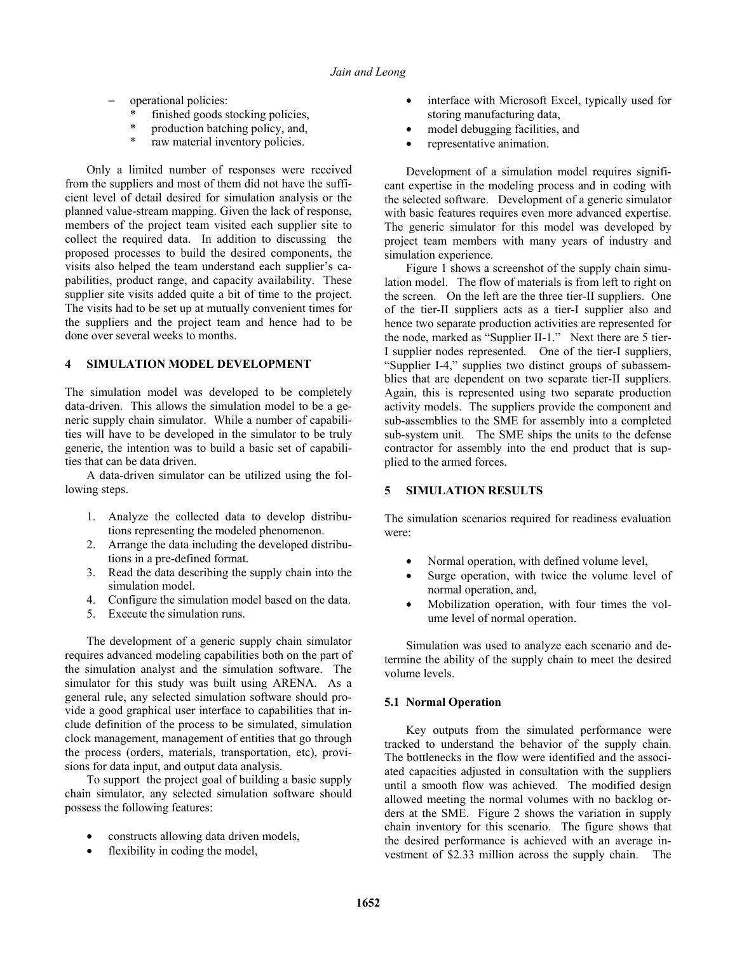- − operational policies:
	- finished goods stocking policies,
	- \* production batching policy, and,
	- raw material inventory policies.

Only a limited number of responses were received from the suppliers and most of them did not have the sufficient level of detail desired for simulation analysis or the planned value-stream mapping. Given the lack of response, members of the project team visited each supplier site to collect the required data. In addition to discussing the proposed processes to build the desired components, the visits also helped the team understand each supplier's capabilities, product range, and capacity availability. These supplier site visits added quite a bit of time to the project. The visits had to be set up at mutually convenient times for the suppliers and the project team and hence had to be done over several weeks to months.

### **4 SIMULATION MODEL DEVELOPMENT**

The simulation model was developed to be completely data-driven. This allows the simulation model to be a generic supply chain simulator. While a number of capabilities will have to be developed in the simulator to be truly generic, the intention was to build a basic set of capabilities that can be data driven.

A data-driven simulator can be utilized using the following steps.

- 1. Analyze the collected data to develop distributions representing the modeled phenomenon.
- 2. Arrange the data including the developed distributions in a pre-defined format.
- 3. Read the data describing the supply chain into the simulation model.
- 4. Configure the simulation model based on the data.
- 5. Execute the simulation runs.

The development of a generic supply chain simulator requires advanced modeling capabilities both on the part of the simulation analyst and the simulation software. The simulator for this study was built using ARENA. As a general rule, any selected simulation software should provide a good graphical user interface to capabilities that include definition of the process to be simulated, simulation clock management, management of entities that go through the process (orders, materials, transportation, etc), provisions for data input, and output data analysis.

To support the project goal of building a basic supply chain simulator, any selected simulation software should possess the following features:

- constructs allowing data driven models,
- flexibility in coding the model,
- interface with Microsoft Excel, typically used for storing manufacturing data,
- model debugging facilities, and
- representative animation.

Development of a simulation model requires significant expertise in the modeling process and in coding with the selected software. Development of a generic simulator with basic features requires even more advanced expertise. The generic simulator for this model was developed by project team members with many years of industry and simulation experience.

Figure 1 shows a screenshot of the supply chain simulation model. The flow of materials is from left to right on the screen. On the left are the three tier-II suppliers. One of the tier-II suppliers acts as a tier-I supplier also and hence two separate production activities are represented for the node, marked as "Supplier II-1." Next there are 5 tier-I supplier nodes represented. One of the tier-I suppliers, "Supplier I-4," supplies two distinct groups of subassemblies that are dependent on two separate tier-II suppliers. Again, this is represented using two separate production activity models. The suppliers provide the component and sub-assemblies to the SME for assembly into a completed sub-system unit. The SME ships the units to the defense contractor for assembly into the end product that is supplied to the armed forces.

### **5 SIMULATION RESULTS**

The simulation scenarios required for readiness evaluation were:

- Normal operation, with defined volume level,
- Surge operation, with twice the volume level of normal operation, and,
- Mobilization operation, with four times the volume level of normal operation.

Simulation was used to analyze each scenario and determine the ability of the supply chain to meet the desired volume levels.

#### **5.1 Normal Operation**

Key outputs from the simulated performance were tracked to understand the behavior of the supply chain. The bottlenecks in the flow were identified and the associated capacities adjusted in consultation with the suppliers until a smooth flow was achieved. The modified design allowed meeting the normal volumes with no backlog orders at the SME. Figure 2 shows the variation in supply chain inventory for this scenario. The figure shows that the desired performance is achieved with an average investment of \$2.33 million across the supply chain. The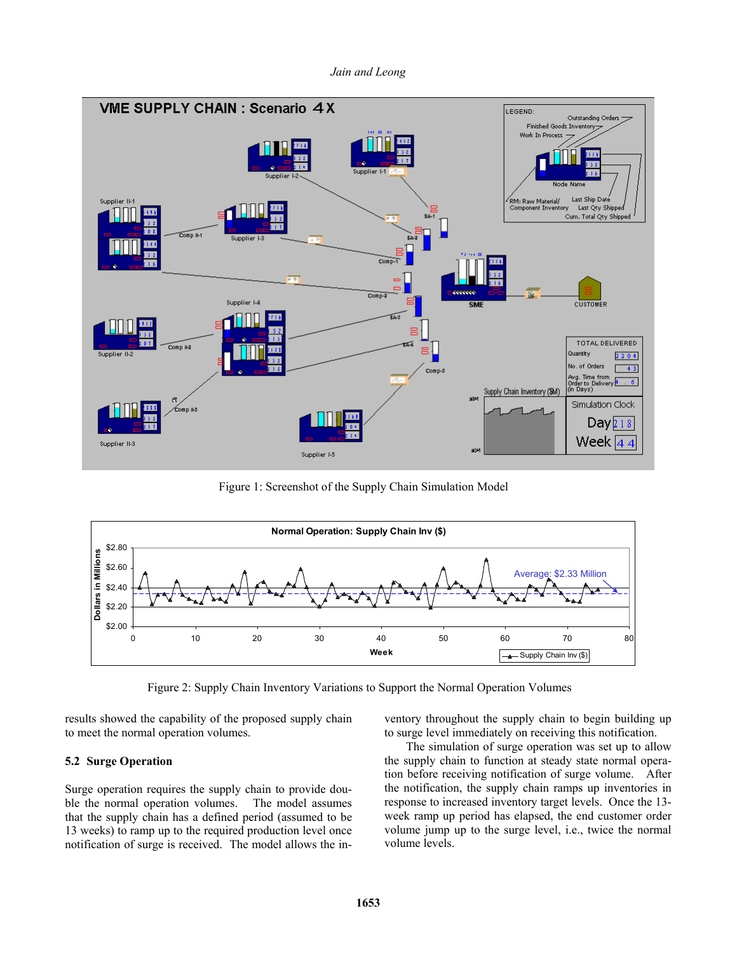



Figure 1: Screenshot of the Supply Chain Simulation Model



Figure 2: Supply Chain Inventory Variations to Support the Normal Operation Volumes

results showed the capability of the proposed supply chain to meet the normal operation volumes.

# **5.2 Surge Operation**

Surge operation requires the supply chain to provide double the normal operation volumes. The model assumes that the supply chain has a defined period (assumed to be 13 weeks) to ramp up to the required production level once notification of surge is received. The model allows the inventory throughout the supply chain to begin building up to surge level immediately on receiving this notification.

The simulation of surge operation was set up to allow the supply chain to function at steady state normal operation before receiving notification of surge volume. After the notification, the supply chain ramps up inventories in response to increased inventory target levels. Once the 13 week ramp up period has elapsed, the end customer order volume jump up to the surge level, i.e., twice the normal volume levels.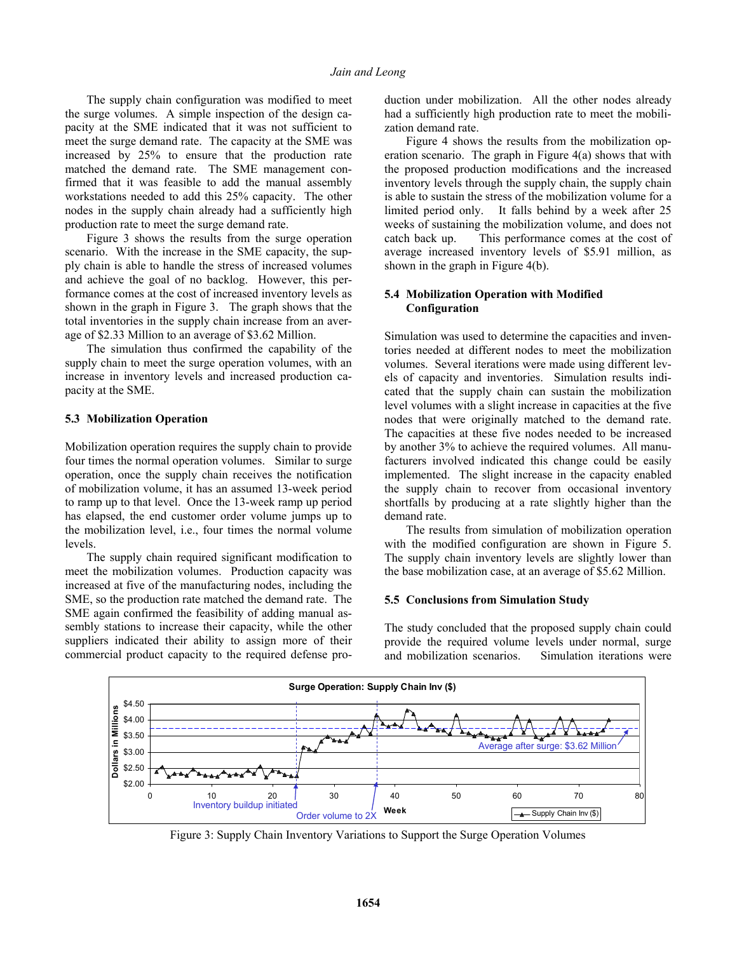The supply chain configuration was modified to meet the surge volumes. A simple inspection of the design capacity at the SME indicated that it was not sufficient to meet the surge demand rate. The capacity at the SME was increased by 25% to ensure that the production rate matched the demand rate. The SME management confirmed that it was feasible to add the manual assembly workstations needed to add this 25% capacity. The other nodes in the supply chain already had a sufficiently high production rate to meet the surge demand rate.

Figure 3 shows the results from the surge operation scenario. With the increase in the SME capacity, the supply chain is able to handle the stress of increased volumes and achieve the goal of no backlog. However, this performance comes at the cost of increased inventory levels as shown in the graph in Figure 3. The graph shows that the total inventories in the supply chain increase from an average of \$2.33 Million to an average of \$3.62 Million.

The simulation thus confirmed the capability of the supply chain to meet the surge operation volumes, with an increase in inventory levels and increased production capacity at the SME.

### **5.3 Mobilization Operation**

Mobilization operation requires the supply chain to provide four times the normal operation volumes. Similar to surge operation, once the supply chain receives the notification of mobilization volume, it has an assumed 13-week period to ramp up to that level. Once the 13-week ramp up period has elapsed, the end customer order volume jumps up to the mobilization level, i.e., four times the normal volume levels.

The supply chain required significant modification to meet the mobilization volumes. Production capacity was increased at five of the manufacturing nodes, including the SME, so the production rate matched the demand rate. The SME again confirmed the feasibility of adding manual assembly stations to increase their capacity, while the other suppliers indicated their ability to assign more of their commercial product capacity to the required defense production under mobilization. All the other nodes already had a sufficiently high production rate to meet the mobilization demand rate.

Figure 4 shows the results from the mobilization operation scenario. The graph in Figure 4(a) shows that with the proposed production modifications and the increased inventory levels through the supply chain, the supply chain is able to sustain the stress of the mobilization volume for a limited period only. It falls behind by a week after 25 weeks of sustaining the mobilization volume, and does not catch back up. This performance comes at the cost of average increased inventory levels of \$5.91 million, as shown in the graph in Figure 4(b).

### **5.4 Mobilization Operation with Modified Configuration**

Simulation was used to determine the capacities and inventories needed at different nodes to meet the mobilization volumes. Several iterations were made using different levels of capacity and inventories. Simulation results indicated that the supply chain can sustain the mobilization level volumes with a slight increase in capacities at the five nodes that were originally matched to the demand rate. The capacities at these five nodes needed to be increased by another 3% to achieve the required volumes. All manufacturers involved indicated this change could be easily implemented. The slight increase in the capacity enabled the supply chain to recover from occasional inventory shortfalls by producing at a rate slightly higher than the demand rate.

The results from simulation of mobilization operation with the modified configuration are shown in Figure 5. The supply chain inventory levels are slightly lower than the base mobilization case, at an average of \$5.62 Million.

#### **5.5 Conclusions from Simulation Study**

The study concluded that the proposed supply chain could provide the required volume levels under normal, surge and mobilization scenarios. Simulation iterations were



Figure 3: Supply Chain Inventory Variations to Support the Surge Operation Volumes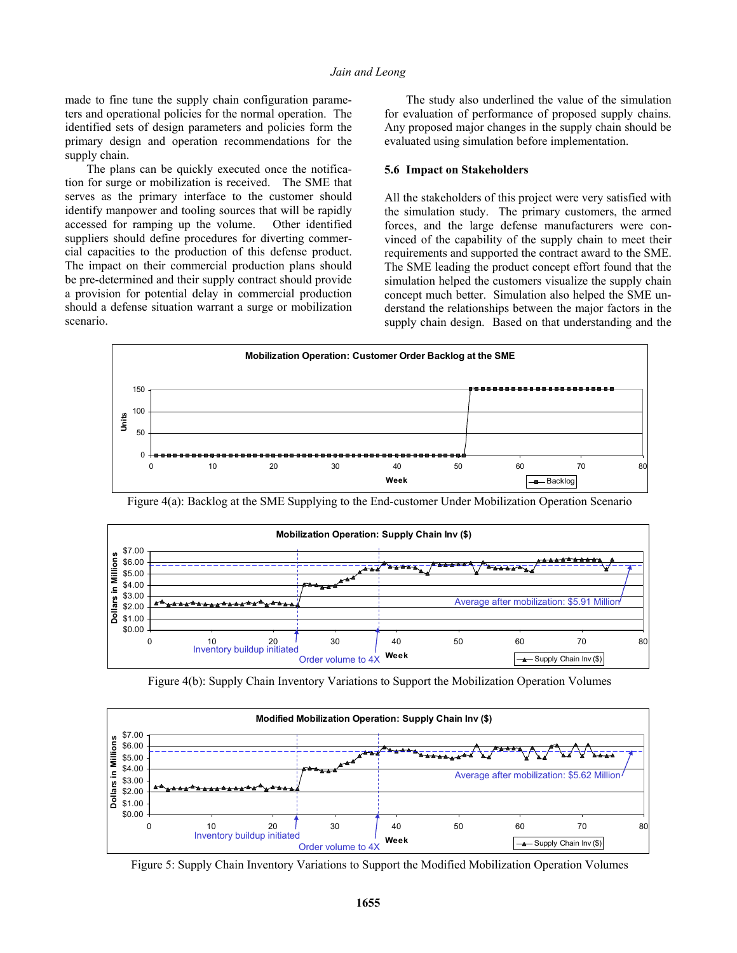made to fine tune the supply chain configuration parameters and operational policies for the normal operation. The identified sets of design parameters and policies form the primary design and operation recommendations for the supply chain.

The plans can be quickly executed once the notification for surge or mobilization is received. The SME that serves as the primary interface to the customer should identify manpower and tooling sources that will be rapidly accessed for ramping up the volume. Other identified suppliers should define procedures for diverting commercial capacities to the production of this defense product. The impact on their commercial production plans should be pre-determined and their supply contract should provide a provision for potential delay in commercial production should a defense situation warrant a surge or mobilization scenario.

The study also underlined the value of the simulation for evaluation of performance of proposed supply chains. Any proposed major changes in the supply chain should be evaluated using simulation before implementation.

#### **5.6 Impact on Stakeholders**

All the stakeholders of this project were very satisfied with the simulation study. The primary customers, the armed forces, and the large defense manufacturers were convinced of the capability of the supply chain to meet their requirements and supported the contract award to the SME. The SME leading the product concept effort found that the simulation helped the customers visualize the supply chain concept much better. Simulation also helped the SME understand the relationships between the major factors in the supply chain design. Based on that understanding and the







Figure 4(b): Supply Chain Inventory Variations to Support the Mobilization Operation Volumes



Figure 5: Supply Chain Inventory Variations to Support the Modified Mobilization Operation Volumes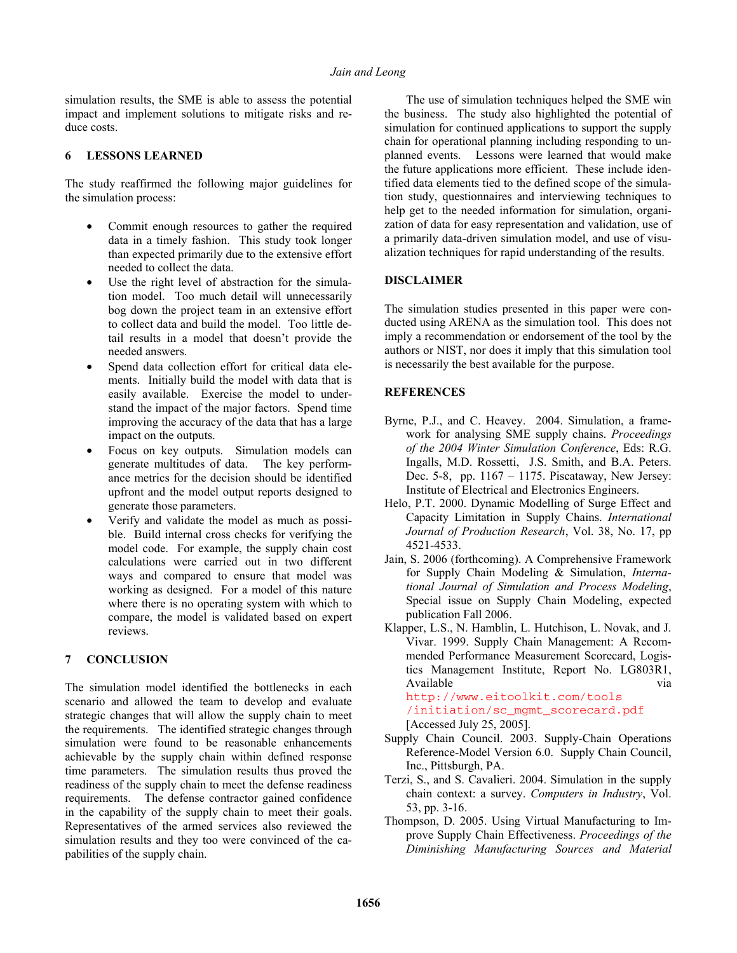simulation results, the SME is able to assess the potential impact and implement solutions to mitigate risks and reduce costs.

### **6 LESSONS LEARNED**

The study reaffirmed the following major guidelines for the simulation process:

- Commit enough resources to gather the required data in a timely fashion. This study took longer than expected primarily due to the extensive effort needed to collect the data.
- Use the right level of abstraction for the simulation model. Too much detail will unnecessarily bog down the project team in an extensive effort to collect data and build the model. Too little detail results in a model that doesn't provide the needed answers.
- Spend data collection effort for critical data elements. Initially build the model with data that is easily available. Exercise the model to understand the impact of the major factors. Spend time improving the accuracy of the data that has a large impact on the outputs.
- Focus on key outputs. Simulation models can generate multitudes of data. The key performance metrics for the decision should be identified upfront and the model output reports designed to generate those parameters.
- Verify and validate the model as much as possible. Build internal cross checks for verifying the model code. For example, the supply chain cost calculations were carried out in two different ways and compared to ensure that model was working as designed. For a model of this nature where there is no operating system with which to compare, the model is validated based on expert reviews.

### **7 CONCLUSION**

The simulation model identified the bottlenecks in each scenario and allowed the team to develop and evaluate strategic changes that will allow the supply chain to meet the requirements. The identified strategic changes through simulation were found to be reasonable enhancements achievable by the supply chain within defined response time parameters. The simulation results thus proved the readiness of the supply chain to meet the defense readiness requirements. The defense contractor gained confidence in the capability of the supply chain to meet their goals. Representatives of the armed services also reviewed the simulation results and they too were convinced of the capabilities of the supply chain.

The use of simulation techniques helped the SME win the business. The study also highlighted the potential of simulation for continued applications to support the supply chain for operational planning including responding to unplanned events. Lessons were learned that would make the future applications more efficient. These include identified data elements tied to the defined scope of the simulation study, questionnaires and interviewing techniques to help get to the needed information for simulation, organization of data for easy representation and validation, use of a primarily data-driven simulation model, and use of visualization techniques for rapid understanding of the results.

### **DISCLAIMER**

The simulation studies presented in this paper were conducted using ARENA as the simulation tool. This does not imply a recommendation or endorsement of the tool by the authors or NIST, nor does it imply that this simulation tool is necessarily the best available for the purpose.

### **REFERENCES**

- Byrne, P.J., and C. Heavey. 2004. Simulation, a framework for analysing SME supply chains. *Proceedings of the 2004 Winter Simulation Conference*, Eds: R.G. Ingalls, M.D. Rossetti, J.S. Smith, and B.A. Peters. Dec. 5-8, pp. 1167 – 1175. Piscataway, New Jersey: Institute of Electrical and Electronics Engineers.
- Helo, P.T. 2000. Dynamic Modelling of Surge Effect and Capacity Limitation in Supply Chains. *International Journal of Production Research*, Vol. 38, No. 17, pp 4521-4533.
- Jain, S. 2006 (forthcoming). A Comprehensive Framework for Supply Chain Modeling & Simulation, *International Journal of Simulation and Process Modeling*, Special issue on Supply Chain Modeling, expected publication Fall 2006.
- Klapper, L.S., N. Hamblin, L. Hutchison, L. Novak, and J. Vivar. 1999. Supply Chain Management: A Recommended Performance Measurement Scorecard, Logistics Management Institute, Report No. LG803R1, Available via [http://www.eitoolkit.com/tools](http://www.eitoolkit.com/tools /initiation/sc_mgmt_scorecard.pdf)

[/initiation/sc\\_mgmt\\_scorecard.pdf](http://www.eitoolkit.com/tools /initiation/sc_mgmt_scorecard.pdf) [Accessed July 25, 2005].

- Supply Chain Council. 2003. Supply-Chain Operations Reference-Model Version 6.0. Supply Chain Council, Inc., Pittsburgh, PA.
- Terzi, S., and S. Cavalieri. 2004. Simulation in the supply chain context: a survey. *Computers in Industry*, Vol. 53, pp. 3-16.
- [Thompson](http://www.dmsms2005.utcdayton.com/media/proceedings2005/bwe1_0400_ Thompson.pdf), D. 2005. [Using Virtual Manufacturing to Im](http://www.dmsms2005.utcdayton.com/media/proceedings2005/bwe1_0400_ Thompson.pdf)[prove Supply Chain Effectivenes](http://www.dmsms2005.utcdayton.com/media/proceedings2005/bwe1_0400_ Thompson.pdf)s. *Proceedings of the Diminishing Manufacturing Sources and Material*